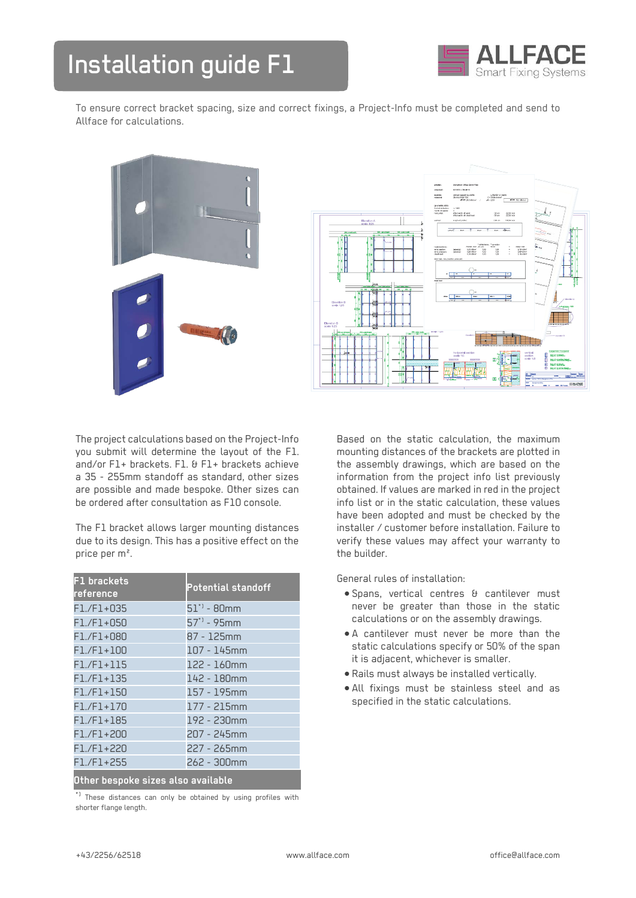

To ensure correct bracket spacing, size and correct fixings, a Project-Info must be completed and send to Allface for calculations.





The project calculations based on the Project-Info you submit will determine the layout of the F1. and/or F1+ brackets. F1. & F1+ brackets achieve a 35 - 255mm standoff as standard, other sizes are possible and made bespoke. Other sizes can be ordered after consultation as F10 console.

The F1 bracket allows larger mounting distances due to its design. This has a positive effect on the price per m².

| F1 brackets<br>reference           | <b>Potential standoff</b> |
|------------------------------------|---------------------------|
| $F1./F1+035$                       | $51$ " - 80mm             |
| $F1./F1+050$                       | $57'$ <sup>1</sup> - 95mm |
| $F1./F1+080$                       | 87 - 125mm                |
| $F1./F1+100$                       | 107 - 145mm               |
| $F1./F1+115$                       | 122 - 160mm               |
| $F1./F1+135$                       | 142 - 180mm               |
| $F1./F1+150$                       | 157 - 195mm               |
| $F1./F1+170$                       | 177 - 215mm               |
| $F1./F1+185$                       | 192 - 230mm               |
| $F1./F1+200$                       | 207 - 245mm               |
| F1./F1+220                         | 227 - 265mm               |
| $F1./F1+255$                       | 262 - 300mm               |
| Other bespoke sizes also available |                           |

 $^{\star}{}$  These distances can only be obtained by using profiles with shorter flange length.

Based on the static calculation, the maximum mounting distances of the brackets are plotted in the assembly drawings, which are based on the information from the project info list previously obtained. If values are marked in red in the project info list or in the static calculation, these values have been adopted and must be checked by the installer / customer before installation. Failure to verify these values may affect your warranty to the builder.

General rules of installation:

- Spans, vertical centres & cantilever must never be greater than those in the static calculations or on the assembly drawings.
- A cantilever must never be more than the static calculations specify or 50% of the span it is adjacent, whichever is smaller.
- Rails must always be installed vertically.
- All fixings must be stainless steel and as specified in the static calculations.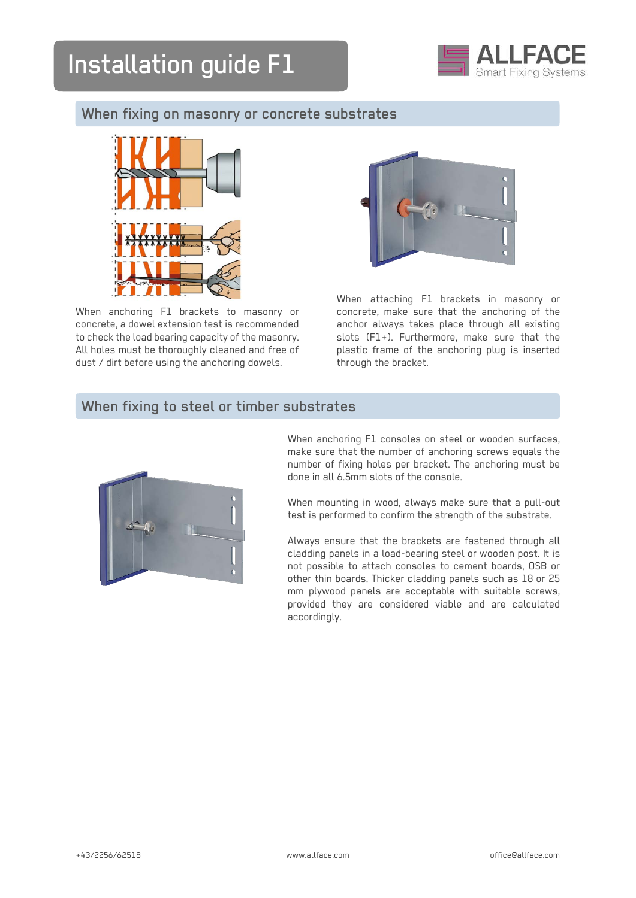

# When fixing on masonry or concrete substrates



When anchoring F1 brackets to masonry or concrete, a dowel extension test is recommended to check the load bearing capacity of the masonry. All holes must be thoroughly cleaned and free of dust / dirt before using the anchoring dowels.



When attaching F1 brackets in masonry or concrete, make sure that the anchoring of the anchor always takes place through all existing slots (F1+). Furthermore, make sure that the plastic frame of the anchoring plug is inserted through the bracket.

### When fixing to steel or timber substrates



When anchoring F1 consoles on steel or wooden surfaces, make sure that the number of anchoring screws equals the number of fixing holes per bracket. The anchoring must be done in all 6.5mm slots of the console.

When mounting in wood, always make sure that a pull-out test is performed to confirm the strength of the substrate.

Always ensure that the brackets are fastened through all cladding panels in a load-bearing steel or wooden post. It is not possible to attach consoles to cement boards, OSB or other thin boards. Thicker cladding panels such as 18 or 25 mm plywood panels are acceptable with suitable screws, provided they are considered viable and are calculated accordingly.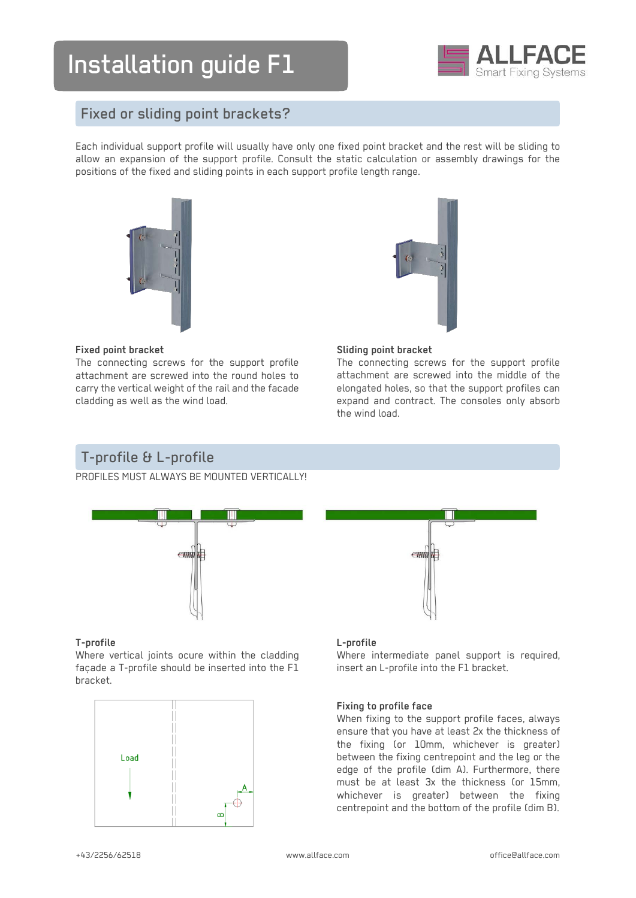

# Fixed or sliding point brackets?

Each individual support profile will usually have only one fixed point bracket and the rest will be sliding to allow an expansion of the support profile. Consult the static calculation or assembly drawings for the positions of the fixed and sliding points in each support profile length range.



#### **Fixed point bracket**

The connecting screws for the support profile attachment are screwed into the round holes to carry the vertical weight of the rail and the facade cladding as well as the wind load.

#### **Sliding point bracket**

The connecting screws for the support profile attachment are screwed into the middle of the elongated holes, so that the support profiles can expand and contract. The consoles only absorb the wind load.

# T-profile & L-profile

PROFILES MUST ALWAYS BE MOUNTED VERTICALLY



#### **T-profile**

Where vertical joints ocure within the cladding façade a T-profile should be inserted into the F1 bracket.





#### **L-profile**

Where intermediate panel support is required, insert an L-profile into the F1 bracket.

#### **Fixing to profile face**

When fixing to the support profile faces, always ensure that you have at least 2x the thickness of the fixing (or 10mm, whichever is greater) between the fixing centrepoint and the leg or the edge of the profile (dim A). Furthermore, there must be at least 3x the thickness (or 15mm, whichever is greater) between the fixing centrepoint and the bottom of the profile (dim B).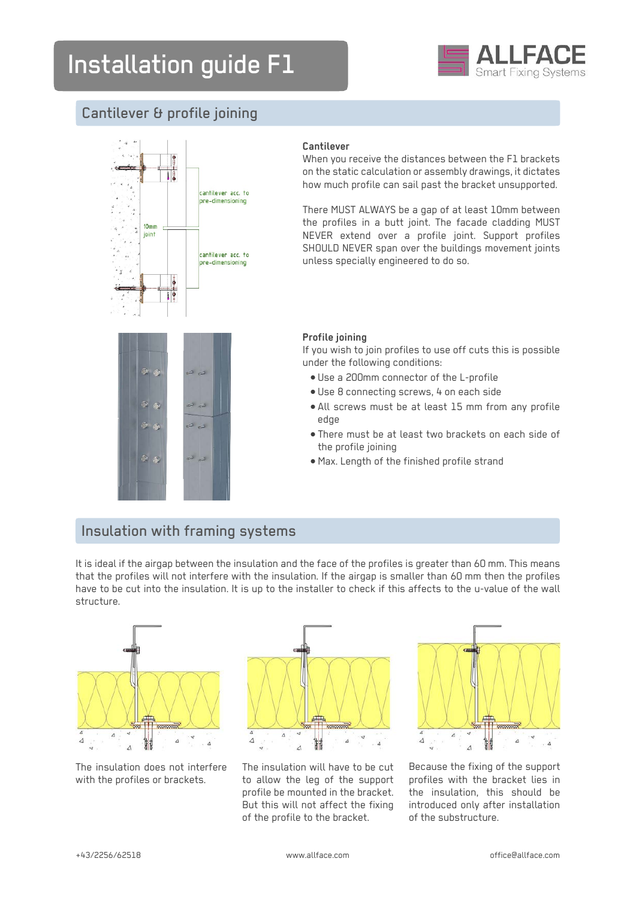

# Cantilever & profile joining



### **Cantilever**

When you receive the distances between the F1 brackets on the static calculation or assembly drawings, it dictates how much profile can sail past the bracket unsupported.

There MUST ALWAYS be a gap of at least 10mm between the profiles in a butt joint. The facade cladding MUST NEVER extend over a profile joint. Support profiles SHOULD NEVER span over the buildings movement joints unless specially engineered to do so.



#### **Profile joining**

If you wish to join profiles to use off cuts this is possible under the following conditions:

- Use a 200mm connector of the L-profile
- Use 8 connecting screws, 4 on each side
- All screws must be at least 15 mm from any profile edge
- There must be at least two brackets on each side of the profile joining
- Max. Length of the finished profile strand

# Insulation with framing systems

It is ideal if the airgap between the insulation and the face of the profiles is greater than 60 mm. This means that the profiles will not interfere with the insulation. If the airgap is smaller than 60 mm then the profiles have to be cut into the insulation. It is up to the installer to check if this affects to the u-value of the wall structure.



The insulation does not interfere with the profiles or brackets.



The insulation will have to be cut to allow the leg of the support profile be mounted in the bracket. But this will not affect the fixing of the profile to the bracket.



Because the fixing of the support profiles with the bracket lies in the insulation, this should be introduced only after installation of the substructure.